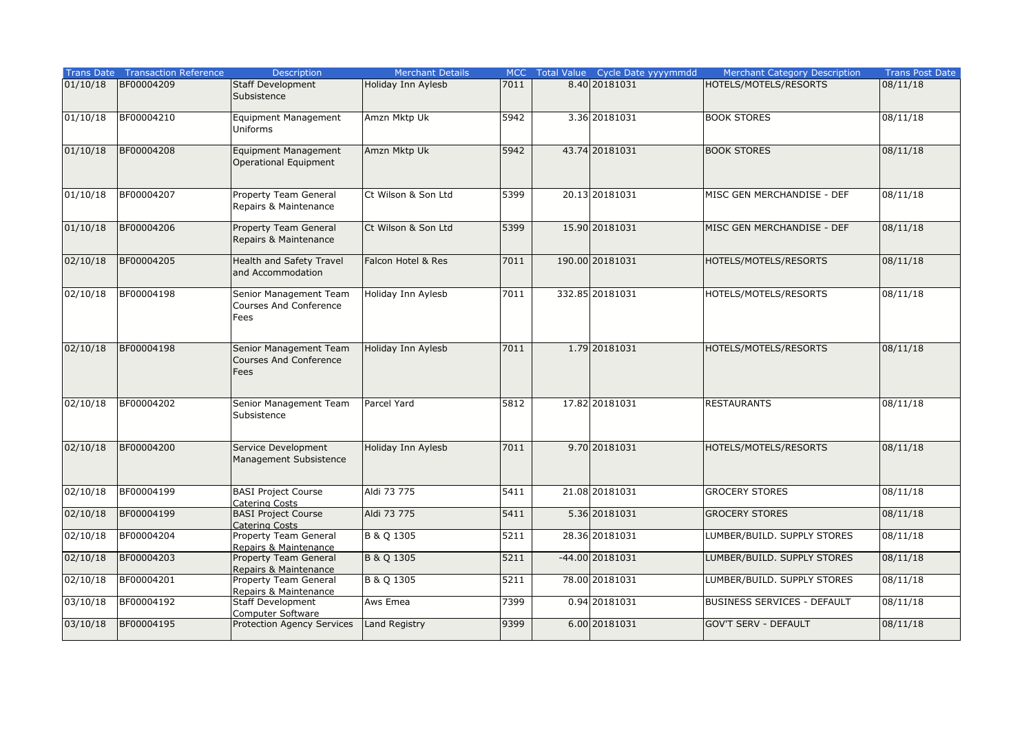| <b>Trans Date</b> | <b>Transaction Reference</b> | <b>Description</b>                                              | <b>Merchant Details</b> | <b>MCC</b> | Total Value Cycle Date yyyymmdd | <b>Merchant Category Description</b> | <b>Trans Post Date</b> |
|-------------------|------------------------------|-----------------------------------------------------------------|-------------------------|------------|---------------------------------|--------------------------------------|------------------------|
| 01/10/18          | BF00004209                   | <b>Staff Development</b><br>Subsistence                         | Holiday Inn Aylesb      | 7011       | 8.40 2018 1031                  | HOTELS/MOTELS/RESORTS                | 08/11/18               |
| 01/10/18          | BF00004210                   | Equipment Management<br>Uniforms                                | Amzn Mktp Uk            | 5942       | 3.36 20181031                   | <b>BOOK STORES</b>                   | 08/11/18               |
| 01/10/18          | BF00004208                   | Equipment Management<br><b>Operational Equipment</b>            | Amzn Mktp Uk            | 5942       | 43.74 20181031                  | <b>BOOK STORES</b>                   | 08/11/18               |
| 01/10/18          | BF00004207                   | Property Team General<br>Repairs & Maintenance                  | Ct Wilson & Son Ltd     | 5399       | 20.13 20181031                  | MISC GEN MERCHANDISE - DEF           | 08/11/18               |
| 01/10/18          | BF00004206                   | Property Team General<br>Repairs & Maintenance                  | Ct Wilson & Son Ltd     | 5399       | 15.90 20181031                  | MISC GEN MERCHANDISE - DEF           | 08/11/18               |
| 02/10/18          | BF00004205                   | Health and Safety Travel<br>and Accommodation                   | Falcon Hotel & Res      | 7011       | 190.00 20181031                 | HOTELS/MOTELS/RESORTS                | 08/11/18               |
| 02/10/18          | BF00004198                   | Senior Management Team<br><b>Courses And Conference</b><br>Fees | Holiday Inn Aylesb      | 7011       | 332.85 20181031                 | HOTELS/MOTELS/RESORTS                | 08/11/18               |
| 02/10/18          | BF00004198                   | Senior Management Team<br><b>Courses And Conference</b><br>Fees | Holiday Inn Aylesb      | 7011       | 1.79 20181031                   | HOTELS/MOTELS/RESORTS                | 08/11/18               |
| 02/10/18          | BF00004202                   | Senior Management Team<br>Subsistence                           | <b>Parcel Yard</b>      | 5812       | 17.82 20181031                  | <b>RESTAURANTS</b>                   | 08/11/18               |
| 02/10/18          | BF00004200                   | Service Development<br>Management Subsistence                   | Holiday Inn Aylesb      | 7011       | 9.70 20181031                   | HOTELS/MOTELS/RESORTS                | 08/11/18               |
| 02/10/18          | BF00004199                   | <b>BASI Project Course</b>                                      | Aldi 73 775             | 5411       | 21.08 20181031                  | <b>GROCERY STORES</b>                | 08/11/18               |
| 02/10/18          | BF00004199                   | Catering Costs<br><b>BASI Project Course</b><br>Catering Costs  | Aldi 73 775             | 5411       | 5.36 20181031                   | <b>GROCERY STORES</b>                | 08/11/18               |
| 02/10/18          | BF00004204                   | Property Team General<br>Repairs & Maintenance                  | B & Q 1305              | 5211       | 28.36 20181031                  | LUMBER/BUILD. SUPPLY STORES          | 08/11/18               |
| 02/10/18          | BF00004203                   | Property Team General<br>Repairs & Maintenance                  | B & Q 1305              | 5211       | $-44.00$ 20181031               | LUMBER/BUILD. SUPPLY STORES          | 08/11/18               |
| 02/10/18          | BF00004201                   | Property Team General<br>Repairs & Maintenance                  | B & Q 1305              | 5211       | 78.00 20181031                  | LUMBER/BUILD. SUPPLY STORES          | 08/11/18               |
| 03/10/18          | BF00004192                   | <b>Staff Development</b><br><b>Computer Software</b>            | Aws Emea                | 7399       | 0.94 20181031                   | <b>BUSINESS SERVICES - DEFAULT</b>   | 08/11/18               |
| 03/10/18          | BF00004195                   | <b>Protection Agency Services</b>                               | Land Registry           | 9399       | 6.00 2018 1031                  | <b>GOV'T SERV - DEFAULT</b>          | 08/11/18               |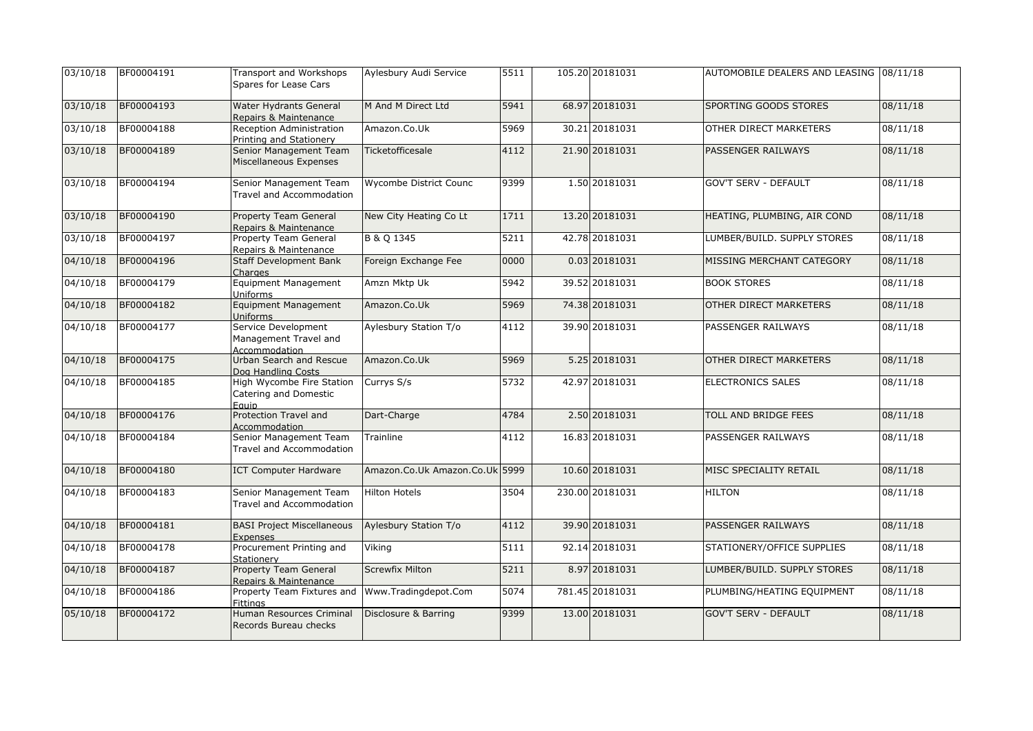| 03/10/18 | BF00004191 | Transport and Workshops<br>Spares for Lease Cars              | Aylesbury Audi Service         | 5511 | 105.20 20181031 | AUTOMOBILE DEALERS AND LEASING 08/11/18 |          |
|----------|------------|---------------------------------------------------------------|--------------------------------|------|-----------------|-----------------------------------------|----------|
| 03/10/18 | BF00004193 | Water Hydrants General<br>Repairs & Maintenance               | M And M Direct Ltd             | 5941 | 68.97 20181031  | SPORTING GOODS STORES                   | 08/11/18 |
| 03/10/18 | BF00004188 | Reception Administration<br>Printing and Stationery           | Amazon.Co.Uk                   | 5969 | 30.21 20181031  | OTHER DIRECT MARKETERS                  | 08/11/18 |
| 03/10/18 | BF00004189 | Senior Management Team<br>Miscellaneous Expenses              | Ticketofficesale               | 4112 | 21.90 20181031  | PASSENGER RAILWAYS                      | 08/11/18 |
| 03/10/18 | BF00004194 | Senior Management Team<br>Travel and Accommodation            | Wycombe District Counc         | 9399 | 1.50 20181031   | <b>GOV'T SERV - DEFAULT</b>             | 08/11/18 |
| 03/10/18 | BF00004190 | Property Team General<br>Repairs & Maintenance                | New City Heating Co Lt         | 1711 | 13.20 20181031  | HEATING, PLUMBING, AIR COND             | 08/11/18 |
| 03/10/18 | BF00004197 | Property Team General<br>Repairs & Maintenance                | B & Q 1345                     | 5211 | 42.78 20181031  | LUMBER/BUILD. SUPPLY STORES             | 08/11/18 |
| 04/10/18 | BF00004196 | <b>Staff Development Bank</b><br>Charges                      | Foreign Exchange Fee           | 0000 | 0.03 20181031   | MISSING MERCHANT CATEGORY               | 08/11/18 |
| 04/10/18 | BF00004179 | <b>Equipment Management</b><br>Uniforms                       | Amzn Mktp Uk                   | 5942 | 39.52 20181031  | <b>BOOK STORES</b>                      | 08/11/18 |
| 04/10/18 | BF00004182 | <b>Equipment Management</b><br>Uniforms                       | Amazon.Co.Uk                   | 5969 | 74.38 20181031  | OTHER DIRECT MARKETERS                  | 08/11/18 |
| 04/10/18 | BF00004177 | Service Development<br>Management Travel and<br>Accommodation | Aylesbury Station T/o          | 4112 | 39.90 20181031  | PASSENGER RAILWAYS                      | 08/11/18 |
| 04/10/18 | BF00004175 | Urban Search and Rescue<br>Dog Handling Costs                 | Amazon.Co.Uk                   | 5969 | 5.25 20181031   | OTHER DIRECT MARKETERS                  | 08/11/18 |
| 04/10/18 | BF00004185 | High Wycombe Fire Station<br>Catering and Domestic<br>Eauip   | Currys S/s                     | 5732 | 42.97 20181031  | ELECTRONICS SALES                       | 08/11/18 |
| 04/10/18 | BF00004176 | Protection Travel and<br>Accommodation                        | Dart-Charge                    | 4784 | 2.50 20181031   | TOLL AND BRIDGE FEES                    | 08/11/18 |
| 04/10/18 | BF00004184 | Senior Management Team<br><b>Travel and Accommodation</b>     | Trainline                      | 4112 | 16.83 20181031  | PASSENGER RAILWAYS                      | 08/11/18 |
| 04/10/18 | BF00004180 | <b>ICT Computer Hardware</b>                                  | Amazon.Co.Uk Amazon.Co.Uk 5999 |      | 10.60 20181031  | MISC SPECIALITY RETAIL                  | 08/11/18 |
| 04/10/18 | BF00004183 | Senior Management Team<br>Travel and Accommodation            | <b>Hilton Hotels</b>           | 3504 | 230.00 20181031 | <b>HILTON</b>                           | 08/11/18 |
| 04/10/18 | BF00004181 | <b>BASI Project Miscellaneous</b><br>Expenses                 | Aylesbury Station T/o          | 4112 | 39.90 20181031  | PASSENGER RAILWAYS                      | 08/11/18 |
| 04/10/18 | BF00004178 | Procurement Printing and<br>Stationerv                        | Viking                         | 5111 | 92.14 20181031  | STATIONERY/OFFICE SUPPLIES              | 08/11/18 |
| 04/10/18 | BF00004187 | <b>Property Team General</b><br>Repairs & Maintenance         | <b>Screwfix Milton</b>         | 5211 | 8.97 20181031   | LUMBER/BUILD. SUPPLY STORES             | 08/11/18 |
| 04/10/18 | BF00004186 | Property Team Fixtures and<br><b>Fittings</b>                 | Www.Tradingdepot.Com           | 5074 | 781.45 20181031 | PLUMBING/HEATING EQUIPMENT              | 08/11/18 |
| 05/10/18 | BF00004172 | Human Resources Criminal<br>Records Bureau checks             | Disclosure & Barring           | 9399 | 13.00 20181031  | <b>GOV'T SERV - DEFAULT</b>             | 08/11/18 |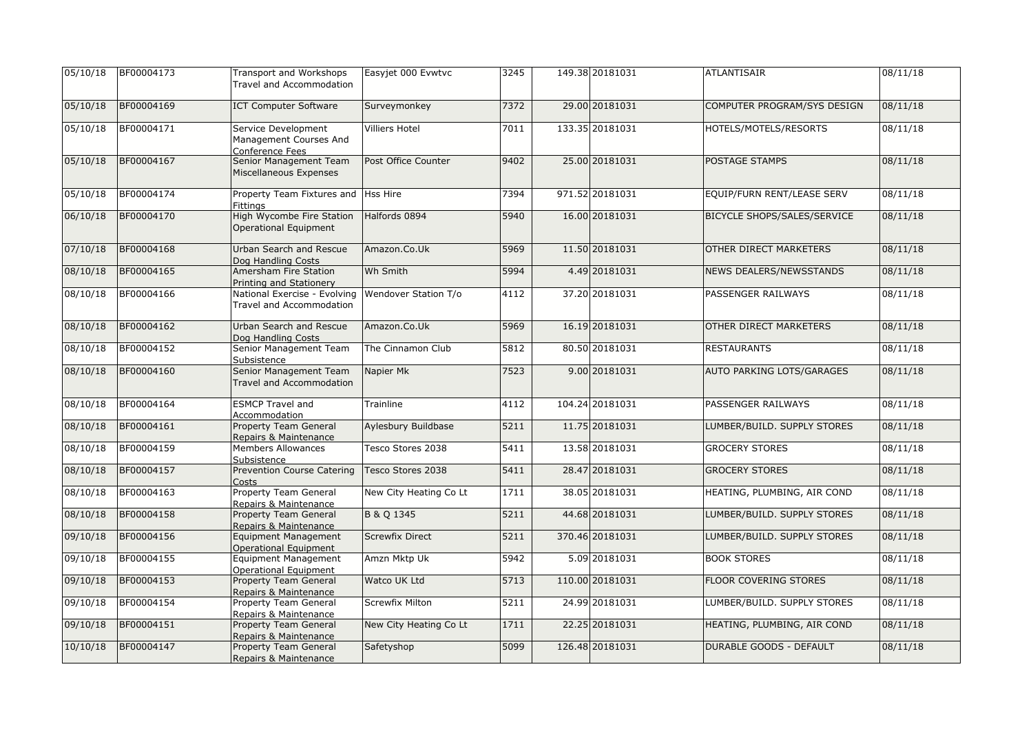| 05/10/18 | BF00004173 | <b>Transport and Workshops</b><br>Travel and Accommodation       | Easyjet 000 Evwtvc     | 3245 | 149.38 20181031 | <b>ATLANTISAIR</b>               | 08/11/18 |
|----------|------------|------------------------------------------------------------------|------------------------|------|-----------------|----------------------------------|----------|
| 05/10/18 | BF00004169 | <b>ICT Computer Software</b>                                     | Surveymonkey           | 7372 | 29.00 20181031  | COMPUTER PROGRAM/SYS DESIGN      | 08/11/18 |
| 05/10/18 | BF00004171 | Service Development<br>Management Courses And<br>Conference Fees | <b>Villiers Hotel</b>  | 7011 | 133.35 20181031 | HOTELS/MOTELS/RESORTS            | 08/11/18 |
| 05/10/18 | BF00004167 | Senior Management Team<br>Miscellaneous Expenses                 | Post Office Counter    | 9402 | 25.00 20181031  | POSTAGE STAMPS                   | 08/11/18 |
| 05/10/18 | BF00004174 | Property Team Fixtures and<br><b>Fittinas</b>                    | Hss Hire               | 7394 | 971.52 20181031 | EQUIP/FURN RENT/LEASE SERV       | 08/11/18 |
| 06/10/18 | BF00004170 | High Wycombe Fire Station<br><b>Operational Equipment</b>        | Halfords 0894          | 5940 | 16.00 20181031  | BICYCLE SHOPS/SALES/SERVICE      | 08/11/18 |
| 07/10/18 | BF00004168 | Urban Search and Rescue<br>Dog Handling Costs                    | Amazon.Co.Uk           | 5969 | 11.50 20181031  | OTHER DIRECT MARKETERS           | 08/11/18 |
| 08/10/18 | BF00004165 | Amersham Fire Station<br>Printing and Stationery                 | Wh Smith               | 5994 | 4.49 20181031   | NEWS DEALERS/NEWSSTANDS          | 08/11/18 |
| 08/10/18 | BF00004166 | National Exercise - Evolving<br>Travel and Accommodation         | Wendover Station T/o   | 4112 | 37.20 20181031  | PASSENGER RAILWAYS               | 08/11/18 |
| 08/10/18 | BF00004162 | Urban Search and Rescue<br>Dog Handling Costs                    | Amazon.Co.Uk           | 5969 | 16.19 20181031  | OTHER DIRECT MARKETERS           | 08/11/18 |
| 08/10/18 | BF00004152 | Senior Management Team<br>Subsistence                            | The Cinnamon Club      | 5812 | 80.50 20181031  | <b>RESTAURANTS</b>               | 08/11/18 |
| 08/10/18 | BF00004160 | Senior Management Team<br>Travel and Accommodation               | Napier Mk              | 7523 | 9.00 20181031   | <b>AUTO PARKING LOTS/GARAGES</b> | 08/11/18 |
| 08/10/18 | BF00004164 | <b>ESMCP Travel and</b><br>Accommodation                         | Trainline              | 4112 | 104.24 20181031 | PASSENGER RAILWAYS               | 08/11/18 |
| 08/10/18 | BF00004161 | Property Team General<br>Repairs & Maintenance                   | Aylesbury Buildbase    | 5211 | 11.75 20181031  | LUMBER/BUILD. SUPPLY STORES      | 08/11/18 |
| 08/10/18 | BF00004159 | Members Allowances<br>Subsistence                                | Tesco Stores 2038      | 5411 | 13.58 20181031  | <b>GROCERY STORES</b>            | 08/11/18 |
| 08/10/18 | BF00004157 | <b>Prevention Course Catering</b><br>Costs                       | Tesco Stores 2038      | 5411 | 28.47 20181031  | <b>GROCERY STORES</b>            | 08/11/18 |
| 08/10/18 | BF00004163 | <b>Property Team General</b><br>Repairs & Maintenance            | New City Heating Co Lt | 1711 | 38.05 20181031  | HEATING, PLUMBING, AIR COND      | 08/11/18 |
| 08/10/18 | BF00004158 | <b>Property Team General</b><br>Repairs & Maintenance            | B & Q 1345             | 5211 | 44.68 20181031  | LUMBER/BUILD. SUPPLY STORES      | 08/11/18 |
| 09/10/18 | BF00004156 | <b>Equipment Management</b><br><b>Operational Equipment</b>      | <b>Screwfix Direct</b> | 5211 | 370.46 20181031 | LUMBER/BUILD. SUPPLY STORES      | 08/11/18 |
| 09/10/18 | BF00004155 | <b>Equipment Management</b><br><b>Operational Equipment</b>      | Amzn Mktp Uk           | 5942 | 5.09 20181031   | <b>BOOK STORES</b>               | 08/11/18 |
| 09/10/18 | BF00004153 | <b>Property Team General</b><br>Repairs & Maintenance            | Watco UK Ltd           | 5713 | 110.00 20181031 | FLOOR COVERING STORES            | 08/11/18 |
| 09/10/18 | BF00004154 | Property Team General<br>Repairs & Maintenance                   | Screwfix Milton        | 5211 | 24.99 20181031  | LUMBER/BUILD. SUPPLY STORES      | 08/11/18 |
| 09/10/18 | BF00004151 | <b>Property Team General</b><br>Repairs & Maintenance            | New City Heating Co Lt | 1711 | 22.25 20181031  | HEATING, PLUMBING, AIR COND      | 08/11/18 |
| 10/10/18 | BF00004147 | Property Team General<br>Repairs & Maintenance                   | Safetyshop             | 5099 | 126.48 20181031 | <b>DURABLE GOODS - DEFAULT</b>   | 08/11/18 |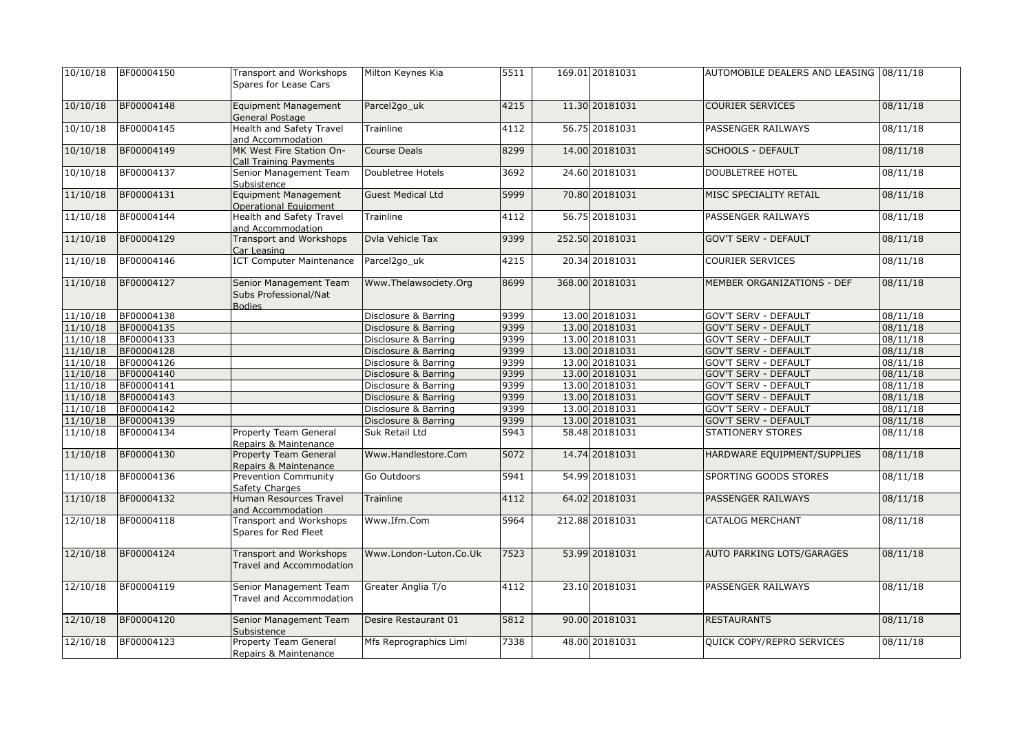| 10/10/18 | BF00004150 | Transport and Workshops                                          | Milton Keynes Kia        | 5511 | 169.01 20181031 | AUTOMOBILE DEALERS AND LEASING 08/11/18 |          |
|----------|------------|------------------------------------------------------------------|--------------------------|------|-----------------|-----------------------------------------|----------|
|          |            | Spares for Lease Cars                                            |                          |      |                 |                                         |          |
| 10/10/18 | BF00004148 | <b>Equipment Management</b><br>General Postage                   | Parcel2go_uk             | 4215 | 11.30 20181031  | <b>COURIER SERVICES</b>                 | 08/11/18 |
| 10/10/18 | BF00004145 | <b>Health and Safety Travel</b><br>and Accommodation             | Trainline                | 4112 | 56.75 20181031  | PASSENGER RAILWAYS                      | 08/11/18 |
| 10/10/18 | BF00004149 | MK West Fire Station On-<br>Call Training Payments               | <b>Course Deals</b>      | 8299 | 14.00 20181031  | <b>SCHOOLS - DEFAULT</b>                | 08/11/18 |
| 10/10/18 | BF00004137 | Senior Management Team<br>Subsistence                            | Doubletree Hotels        | 3692 | 24.60 20181031  | DOUBLETREE HOTEL                        | 08/11/18 |
| 11/10/18 | BF00004131 | <b>Equipment Management</b><br>Operational Equipment             | <b>Guest Medical Ltd</b> | 5999 | 70.80 20181031  | MISC SPECIALITY RETAIL                  | 08/11/18 |
| 11/10/18 | BF00004144 | <b>Health and Safety Travel</b><br>and Accommodation             | Trainline                | 4112 | 56.75 20181031  | PASSENGER RAILWAYS                      | 08/11/18 |
| 11/10/18 | BF00004129 | Transport and Workshops<br>Car Leasing                           | Dvla Vehicle Tax         | 9399 | 252.50 20181031 | <b>GOV'T SERV - DEFAULT</b>             | 08/11/18 |
| 11/10/18 | BF00004146 | <b>ICT Computer Maintenance</b>                                  | Parcel2go_uk             | 4215 | 20.34 20181031  | <b>COURIER SERVICES</b>                 | 08/11/18 |
| 11/10/18 | BF00004127 | Senior Management Team<br>Subs Professional/Nat<br><b>Bodies</b> | Www.Thelawsociety.Org    | 8699 | 368.00 20181031 | MEMBER ORGANIZATIONS - DEF              | 08/11/18 |
| 11/10/18 | BF00004138 |                                                                  | Disclosure & Barring     | 9399 | 13.00 20181031  | <b>GOV'T SERV - DEFAULT</b>             | 08/11/18 |
| 11/10/18 | BF00004135 |                                                                  | Disclosure & Barring     | 9399 | 13.00 20181031  | <b>GOV'T SERV - DEFAULT</b>             | 08/11/18 |
| 11/10/18 | BF00004133 |                                                                  | Disclosure & Barring     | 9399 | 13.00 20181031  | <b>GOV'T SERV - DEFAULT</b>             | 08/11/18 |
| 11/10/18 | BF00004128 |                                                                  | Disclosure & Barring     | 9399 | 13.00 20181031  | <b>GOV'T SERV - DEFAULT</b>             | 08/11/18 |
| 11/10/18 | BF00004126 |                                                                  | Disclosure & Barring     | 9399 | 13.00 20181031  | <b>GOV'T SERV - DEFAULT</b>             | 08/11/18 |
| 11/10/18 | BF00004140 |                                                                  | Disclosure & Barring     | 9399 | 13.00 20181031  | <b>GOV'T SERV - DEFAULT</b>             | 08/11/18 |
| 11/10/18 | BF00004141 |                                                                  | Disclosure & Barring     | 9399 | 13.00 20181031  | <b>GOV'T SERV - DEFAULT</b>             | 08/11/18 |
| 11/10/18 | BF00004143 |                                                                  | Disclosure & Barring     | 9399 | 13.00 20181031  | <b>GOV'T SERV - DEFAULT</b>             | 08/11/18 |
| 11/10/18 | BF00004142 |                                                                  | Disclosure & Barring     | 9399 | 13.00 20181031  | <b>GOV'T SERV - DEFAULT</b>             | 08/11/18 |
| 11/10/18 | BF00004139 |                                                                  | Disclosure & Barring     | 9399 | 13.00 20181031  | <b>GOV'T SERV - DEFAULT</b>             | 08/11/18 |
| 11/10/18 | BF00004134 | Property Team General<br>Repairs & Maintenance                   | Suk Retail Ltd           | 5943 | 58.48 20181031  | <b>STATIONERY STORES</b>                | 08/11/18 |
| 11/10/18 | BF00004130 | <b>Property Team General</b><br>Repairs & Maintenance            | Www.Handlestore.Com      | 5072 | 14.74 20181031  | HARDWARE EQUIPMENT/SUPPLIES             | 08/11/18 |
| 11/10/18 | BF00004136 | <b>Prevention Community</b><br>Safety Charges                    | Go Outdoors              | 5941 | 54.99 20181031  | SPORTING GOODS STORES                   | 08/11/18 |
| 11/10/18 | BF00004132 | Human Resources Travel<br>and Accommodation                      | <b>Trainline</b>         | 4112 | 64.02 20181031  | PASSENGER RAILWAYS                      | 08/11/18 |
| 12/10/18 | BF00004118 | <b>Transport and Workshops</b><br>Spares for Red Fleet           | Www.Ifm.Com              | 5964 | 212.88 20181031 | <b>CATALOG MERCHANT</b>                 | 08/11/18 |
| 12/10/18 | BF00004124 | <b>Transport and Workshops</b><br>Travel and Accommodation       | Www.London-Luton.Co.Uk   | 7523 | 53.99 20181031  | AUTO PARKING LOTS/GARAGES               | 08/11/18 |
| 12/10/18 | BF00004119 | Senior Management Team<br>Travel and Accommodation               | Greater Anglia T/o       | 4112 | 23.10 20181031  | PASSENGER RAILWAYS                      | 08/11/18 |
| 12/10/18 | BF00004120 | Senior Management Team<br>Subsistence                            | Desire Restaurant 01     | 5812 | 90.00 20181031  | <b>RESTAURANTS</b>                      | 08/11/18 |
| 12/10/18 | BF00004123 | <b>Property Team General</b><br>Repairs & Maintenance            | Mfs Reprographics Limi   | 7338 | 48.00 20181031  | QUICK COPY/REPRO SERVICES               | 08/11/18 |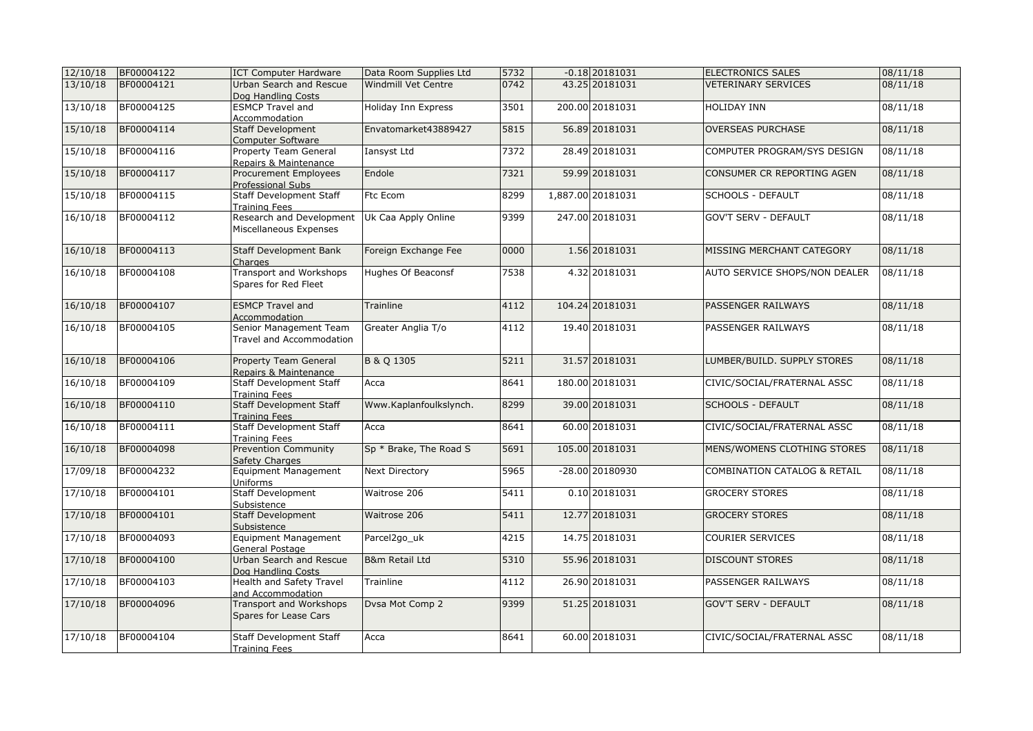| 12/10/18 | BF00004122 | <b>ICT Computer Hardware</b>                        | Data Room Supplies Ltd | 5732 | $-0.18$ 20181031  | <b>ELECTRONICS SALES</b>                | 08/11/18 |
|----------|------------|-----------------------------------------------------|------------------------|------|-------------------|-----------------------------------------|----------|
| 13/10/18 | BF00004121 | Urban Search and Rescue                             | Windmill Vet Centre    | 0742 | 43.25 20181031    | <b>VETERINARY SERVICES</b>              | 08/11/18 |
|          |            | Dog Handling Costs                                  |                        |      |                   |                                         |          |
| 13/10/18 | BF00004125 | <b>ESMCP Travel and</b>                             | Holiday Inn Express    | 3501 | 200.00 20181031   | <b>HOLIDAY INN</b>                      | 08/11/18 |
|          |            | Accommodation                                       |                        |      |                   |                                         |          |
| 15/10/18 | BF00004114 | <b>Staff Development</b>                            | Envatomarket43889427   | 5815 | 56.89 20181031    | <b>OVERSEAS PURCHASE</b>                | 08/11/18 |
|          |            | Computer Software                                   |                        |      |                   |                                         |          |
| 15/10/18 | BF00004116 | Property Team General                               | Iansyst Ltd            | 7372 | 28.49 20181031    | COMPUTER PROGRAM/SYS DESIGN             | 08/11/18 |
|          |            | Repairs & Maintenance                               | Endole                 | 7321 | 59.99 20181031    | CONSUMER CR REPORTING AGEN              |          |
| 15/10/18 | BF00004117 | Procurement Employees                               |                        |      |                   |                                         | 08/11/18 |
| 15/10/18 | BF00004115 | Professional Subs<br><b>Staff Development Staff</b> | Ftc Ecom               | 8299 | 1,887.00 20181031 | SCHOOLS - DEFAULT                       | 08/11/18 |
|          |            | Training Fees                                       |                        |      |                   |                                         |          |
| 16/10/18 | BF00004112 | Research and Development                            | Uk Caa Apply Online    | 9399 | 247.00 20181031   | <b>GOV'T SERV - DEFAULT</b>             | 08/11/18 |
|          |            | Miscellaneous Expenses                              |                        |      |                   |                                         |          |
|          |            |                                                     |                        |      |                   |                                         |          |
| 16/10/18 | BF00004113 | <b>Staff Development Bank</b>                       | Foreign Exchange Fee   | 0000 | 1.56 20181031     | MISSING MERCHANT CATEGORY               | 08/11/18 |
|          |            | Charges                                             |                        |      |                   |                                         |          |
| 16/10/18 | BF00004108 | Transport and Workshops                             | Hughes Of Beaconsf     | 7538 | 4.32 20181031     | AUTO SERVICE SHOPS/NON DEALER           | 08/11/18 |
|          |            | Spares for Red Fleet                                |                        |      |                   |                                         |          |
|          |            |                                                     |                        |      |                   |                                         |          |
| 16/10/18 | BF00004107 | <b>ESMCP Travel and</b>                             | <b>Trainline</b>       | 4112 | 104.24 20181031   | PASSENGER RAILWAYS                      | 08/11/18 |
| 16/10/18 |            | Accommodation                                       |                        |      | 19.40 20181031    |                                         | 08/11/18 |
|          | BF00004105 | Senior Management Team                              | Greater Anglia T/o     | 4112 |                   | PASSENGER RAILWAYS                      |          |
|          |            | Travel and Accommodation                            |                        |      |                   |                                         |          |
| 16/10/18 | BF00004106 | <b>Property Team General</b>                        | B & Q 1305             | 5211 | 31.57 20181031    | LUMBER/BUILD. SUPPLY STORES             | 08/11/18 |
|          |            | Repairs & Maintenance                               |                        |      |                   |                                         |          |
| 16/10/18 | BF00004109 | <b>Staff Development Staff</b>                      | Acca                   | 8641 | 180.00 20181031   | CIVIC/SOCIAL/FRATERNAL ASSC             | 08/11/18 |
|          |            | Training Fees                                       |                        |      |                   |                                         |          |
| 16/10/18 | BF00004110 | <b>Staff Development Staff</b>                      | Www.Kaplanfoulkslynch. | 8299 | 39.00 20181031    | <b>SCHOOLS - DEFAULT</b>                | 08/11/18 |
|          |            | <b>Training Fees</b>                                |                        |      |                   |                                         |          |
| 16/10/18 | BF00004111 | <b>Staff Development Staff</b>                      | Acca                   | 8641 | 60.00 20181031    | CIVIC/SOCIAL/FRATERNAL ASSC             | 08/11/18 |
|          |            | <b>Training Fees</b>                                |                        |      |                   |                                         |          |
| 16/10/18 | BF00004098 | <b>Prevention Community</b>                         | Sp * Brake, The Road S | 5691 | 105.00 20181031   | MENS/WOMENS CLOTHING STORES             | 08/11/18 |
| 17/09/18 | BF00004232 | Safety Charges<br>Equipment Management              | Next Directory         | 5965 | $-28.00$ 20180930 | <b>COMBINATION CATALOG &amp; RETAIL</b> | 08/11/18 |
|          |            | Uniforms                                            |                        |      |                   |                                         |          |
| 17/10/18 | BF00004101 | <b>Staff Development</b>                            | Waitrose 206           | 5411 | 0.10 20181031     | <b>GROCERY STORES</b>                   | 08/11/18 |
|          |            | Subsistence                                         |                        |      |                   |                                         |          |
| 17/10/18 | BF00004101 | <b>Staff Development</b>                            | Waitrose 206           | 5411 | 12.77 20181031    | <b>GROCERY STORES</b>                   | 08/11/18 |
|          |            | Subsistence                                         |                        |      |                   |                                         |          |
| 17/10/18 | BF00004093 | <b>Equipment Management</b>                         | Parcel2go uk           | 4215 | 14.75 20181031    | <b>COURIER SERVICES</b>                 | 08/11/18 |
|          |            | General Postage                                     |                        |      |                   |                                         |          |
| 17/10/18 | BF00004100 | Urban Search and Rescue                             | B&m Retail Ltd         | 5310 | 55.96 20181031    | <b>DISCOUNT STORES</b>                  | 08/11/18 |
|          |            | Dog Handling Costs                                  |                        |      |                   |                                         |          |
| 17/10/18 | BF00004103 | Health and Safety Travel                            | Trainline              | 4112 | 26.90 20181031    | PASSENGER RAILWAYS                      | 08/11/18 |
|          |            | and Accommodation                                   |                        |      |                   |                                         |          |
| 17/10/18 | BF00004096 | Transport and Workshops                             | Dysa Mot Comp 2        | 9399 | 51.25 20181031    | <b>GOV'T SERV - DEFAULT</b>             | 08/11/18 |
|          |            | Spares for Lease Cars                               |                        |      |                   |                                         |          |
| 17/10/18 | BF00004104 | <b>Staff Development Staff</b>                      | Acca                   | 8641 | 60.00 20181031    | CIVIC/SOCIAL/FRATERNAL ASSC             | 08/11/18 |
|          |            | <b>Training Fees</b>                                |                        |      |                   |                                         |          |
|          |            |                                                     |                        |      |                   |                                         |          |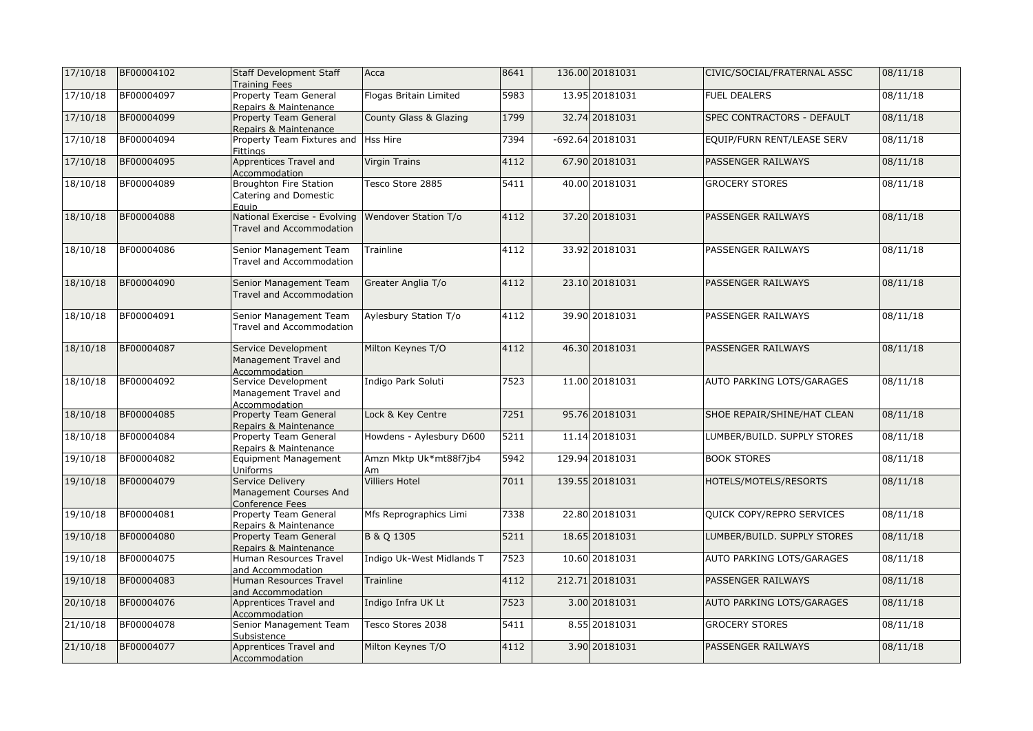| 17/10/18 | BF00004102 | <b>Staff Development Staff</b><br><b>Training Fees</b>          | Acca                         | 8641             | 136.00 20181031    | CIVIC/SOCIAL/FRATERNAL ASSC | 08/11/18 |
|----------|------------|-----------------------------------------------------------------|------------------------------|------------------|--------------------|-----------------------------|----------|
| 17/10/18 | BF00004097 | Property Team General<br>Repairs & Maintenance                  | Flogas Britain Limited       | 5983             | 13.95 20181031     | <b>FUEL DEALERS</b>         | 08/11/18 |
| 17/10/18 | BF00004099 | <b>Property Team General</b><br>Repairs & Maintenance           | County Glass & Glazing       | 1799             | 32.74 20181031     | SPEC CONTRACTORS - DEFAULT  | 08/11/18 |
| 17/10/18 | BF00004094 | Property Team Fixtures and Hss Hire<br><b>Fittings</b>          |                              | 7394             | $-692.64$ 20181031 | EQUIP/FURN RENT/LEASE SERV  | 08/11/18 |
| 17/10/18 | BF00004095 | Apprentices Travel and<br>Accommodation                         | Virgin Trains                | 4112             | 67.90 20181031     | PASSENGER RAILWAYS          | 08/11/18 |
| 18/10/18 | BF00004089 | <b>Broughton Fire Station</b><br>Catering and Domestic<br>Eauip | Tesco Store 2885             | 5411             | 40.00 20181031     | <b>GROCERY STORES</b>       | 08/11/18 |
| 18/10/18 | BF00004088 | National Exercise - Evolving<br><b>Travel and Accommodation</b> | Wendover Station T/o         | 4112             | 37.20 20181031     | PASSENGER RAILWAYS          | 08/11/18 |
| 18/10/18 | BF00004086 | Senior Management Team<br>Travel and Accommodation              | Trainline                    | 4112             | 33.92 20181031     | PASSENGER RAILWAYS          | 08/11/18 |
| 18/10/18 | BF00004090 | Senior Management Team<br>Travel and Accommodation              | Greater Anglia T/o           | 4112             | 23.10 20181031     | PASSENGER RAILWAYS          | 08/11/18 |
| 18/10/18 | BF00004091 | Senior Management Team<br>Travel and Accommodation              | Aylesbury Station T/o        | 4112             | 39.90 20181031     | PASSENGER RAILWAYS          | 08/11/18 |
| 18/10/18 | BF00004087 | Service Development<br>Management Travel and<br>Accommodation   | Milton Keynes T/O            | 4112             | 46.30 20181031     | PASSENGER RAILWAYS          | 08/11/18 |
| 18/10/18 | BF00004092 | Service Development<br>Management Travel and<br>Accommodation   | Indigo Park Soluti           | 7523             | 11.00 20181031     | AUTO PARKING LOTS/GARAGES   | 08/11/18 |
| 18/10/18 | BF00004085 | <b>Property Team General</b><br>Repairs & Maintenance           | Lock & Key Centre            | 7251             | 95.76 20181031     | SHOE REPAIR/SHINE/HAT CLEAN | 08/11/18 |
| 18/10/18 | BF00004084 | Property Team General<br>Repairs & Maintenance                  | Howdens - Aylesbury D600     | 5211             | 11.14 20181031     | LUMBER/BUILD. SUPPLY STORES | 08/11/18 |
| 19/10/18 | BF00004082 | Equipment Management<br>Uniforms                                | Amzn Mktp Uk*mt88f7jb4<br>Am | 5942             | 129.94 20181031    | <b>BOOK STORES</b>          | 08/11/18 |
| 19/10/18 | BF00004079 | Service Delivery<br>Management Courses And<br>Conference Fees   | <b>Villiers Hotel</b>        | 7011             | 139.55 20181031    | HOTELS/MOTELS/RESORTS       | 08/11/18 |
| 19/10/18 | BF00004081 | Property Team General<br>Repairs & Maintenance                  | Mfs Reprographics Limi       | 7338             | 22.80 20181031     | QUICK COPY/REPRO SERVICES   | 08/11/18 |
| 19/10/18 | BF00004080 | Property Team General<br>Repairs & Maintenance                  | B & Q 1305                   | 5211             | 18.65 20181031     | LUMBER/BUILD. SUPPLY STORES | 08/11/18 |
| 19/10/18 | BF00004075 | Human Resources Travel<br>and Accommodation                     | Indigo Uk-West Midlands T    | 7523             | 10.60 20181031     | AUTO PARKING LOTS/GARAGES   | 08/11/18 |
| 19/10/18 | BF00004083 | Human Resources Travel<br>and Accommodation                     | Trainline                    | 4112             | 212.71 20181031    | PASSENGER RAILWAYS          | 08/11/18 |
| 20/10/18 | BF00004076 | Apprentices Travel and<br>Accommodation                         | Indigo Infra UK Lt           | 7523             | 3.00 20181031      | AUTO PARKING LOTS/GARAGES   | 08/11/18 |
| 21/10/18 | BF00004078 | Senior Management Team<br>Subsistence                           | Tesco Stores 2038            | $\frac{1}{5411}$ | 8.55 20181031      | <b>GROCERY STORES</b>       | 08/11/18 |
| 21/10/18 | BF00004077 | Apprentices Travel and<br>Accommodation                         | Milton Keynes T/O            | 4112             | 3.90 20181031      | PASSENGER RAILWAYS          | 08/11/18 |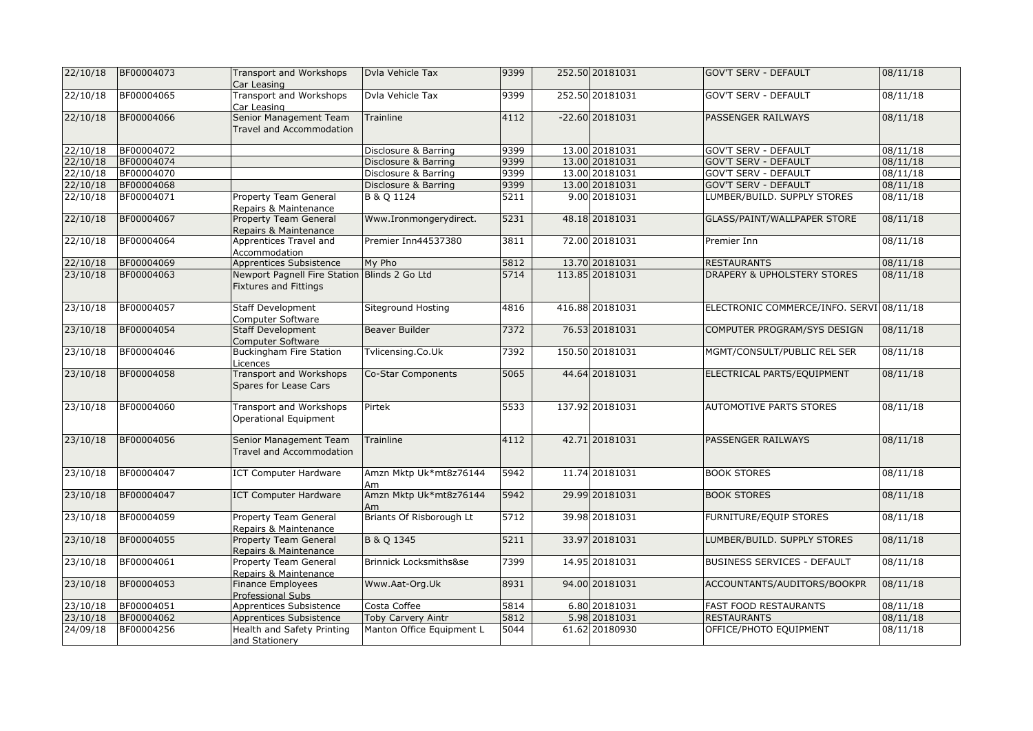| 22/10/18 | BF00004073 | Transport and Workshops<br>Car Leasing                                       | Dvla Vehicle Tax             | 9399 | 252.50 20181031   | <b>GOV'T SERV - DEFAULT</b>              | 08/11/18 |
|----------|------------|------------------------------------------------------------------------------|------------------------------|------|-------------------|------------------------------------------|----------|
| 22/10/18 | BF00004065 | Transport and Workshops<br>Car Leasing                                       | Dyla Vehicle Tax             | 9399 | 252.50 20181031   | <b>GOV'T SERV - DEFAULT</b>              | 08/11/18 |
| 22/10/18 | BF00004066 | Senior Management Team<br>Travel and Accommodation                           | Trainline                    | 4112 | $-22.60$ 20181031 | PASSENGER RAILWAYS                       | 08/11/18 |
| 22/10/18 | BF00004072 |                                                                              | Disclosure & Barring         | 9399 | 13.00 20181031    | <b>GOV'T SERV - DEFAULT</b>              | 08/11/18 |
| 22/10/18 | BF00004074 |                                                                              | Disclosure & Barring         | 9399 | 13.00 20181031    | <b>GOV'T SERV - DEFAULT</b>              | 08/11/18 |
| 22/10/18 | BF00004070 |                                                                              | Disclosure & Barring         | 9399 | 13.00 20181031    | <b>GOV'T SERV - DEFAULT</b>              | 08/11/18 |
| 22/10/18 | BF00004068 |                                                                              | Disclosure & Barring         | 9399 | 13.00 20181031    | <b>GOV'T SERV - DEFAULT</b>              | 08/11/18 |
| 22/10/18 | BF00004071 | <b>Property Team General</b><br>Repairs & Maintenance                        | <b>B &amp; Q 1124</b>        | 5211 | 9.00 20181031     | LUMBER/BUILD. SUPPLY STORES              | 08/11/18 |
| 22/10/18 | BF00004067 | <b>Property Team General</b><br>Repairs & Maintenance                        | Www.Ironmongerydirect.       | 5231 | 48.18 20181031    | GLASS/PAINT/WALLPAPER STORE              | 08/11/18 |
| 22/10/18 | BF00004064 | Apprentices Travel and<br>Accommodation                                      | Premier Inn44537380          | 3811 | 72.00 20181031    | Premier Inn                              | 08/11/18 |
| 22/10/18 | BF00004069 | <b>Apprentices Subsistence</b>                                               | My Pho                       | 5812 | 13.70 20181031    | <b>RESTAURANTS</b>                       | 08/11/18 |
| 23/10/18 | BF00004063 | Newport Pagnell Fire Station Blinds 2 Go Ltd<br><b>Fixtures and Fittings</b> |                              | 5714 | 113.85 20181031   | <b>DRAPERY &amp; UPHOLSTERY STORES</b>   | 08/11/18 |
| 23/10/18 | BF00004057 | <b>Staff Development</b><br>Computer Software                                | Siteground Hosting           | 4816 | 416.88 20181031   | ELECTRONIC COMMERCE/INFO. SERVI 08/11/18 |          |
| 23/10/18 | BF00004054 | <b>Staff Development</b><br>Computer Software                                | Beaver Builder               | 7372 | 76.53 20181031    | COMPUTER PROGRAM/SYS DESIGN              | 08/11/18 |
| 23/10/18 | BF00004046 | <b>Buckingham Fire Station</b><br>Licences                                   | Tvlicensing.Co.Uk            | 7392 | 150.50 20181031   | MGMT/CONSULT/PUBLIC REL SER              | 08/11/18 |
| 23/10/18 | BF00004058 | Transport and Workshops<br>Spares for Lease Cars                             | Co-Star Components           | 5065 | 44.64 20181031    | ELECTRICAL PARTS/EQUIPMENT               | 08/11/18 |
| 23/10/18 | BF00004060 | Transport and Workshops<br>Operational Equipment                             | Pirtek                       | 5533 | 137.92 20181031   | AUTOMOTIVE PARTS STORES                  | 08/11/18 |
| 23/10/18 | BF00004056 | Senior Management Team<br>Travel and Accommodation                           | <b>Trainline</b>             | 4112 | 42.71 20181031    | PASSENGER RAILWAYS                       | 08/11/18 |
| 23/10/18 | BF00004047 | <b>ICT Computer Hardware</b>                                                 | Amzn Mktp Uk*mt8z76144<br>Am | 5942 | 11.74 20181031    | <b>BOOK STORES</b>                       | 08/11/18 |
| 23/10/18 | BF00004047 | <b>ICT Computer Hardware</b>                                                 | Amzn Mktp Uk*mt8z76144<br>Am | 5942 | 29.99 20181031    | <b>BOOK STORES</b>                       | 08/11/18 |
| 23/10/18 | BF00004059 | Property Team General<br>Repairs & Maintenance                               | Briants Of Risborough Lt     | 5712 | 39.98 20181031    | FURNITURE/EQUIP STORES                   | 08/11/18 |
| 23/10/18 | BF00004055 | <b>Property Team General</b><br>Repairs & Maintenance                        | B & Q 1345                   | 5211 | 33.97 20181031    | LUMBER/BUILD. SUPPLY STORES              | 08/11/18 |
| 23/10/18 | BF00004061 | Property Team General<br>Repairs & Maintenance                               | Brinnick Locksmiths&se       | 7399 | 14.95 20181031    | <b>BUSINESS SERVICES - DEFAULT</b>       | 08/11/18 |
| 23/10/18 | BF00004053 | Finance Employees<br><b>Professional Subs</b>                                | Www.Aat-Org.Uk               | 8931 | 94.00 20181031    | ACCOUNTANTS/AUDITORS/BOOKPR              | 08/11/18 |
| 23/10/18 | BF00004051 | Apprentices Subsistence                                                      | Costa Coffee                 | 5814 | 6.80 20181031     | <b>FAST FOOD RESTAURANTS</b>             | 08/11/18 |
| 23/10/18 | BF00004062 | <b>Apprentices Subsistence</b>                                               | Toby Carvery Aintr           | 5812 | 5.98 20181031     | <b>RESTAURANTS</b>                       | 08/11/18 |
| 24/09/18 | BF00004256 | Health and Safety Printing<br>and Stationery                                 | Manton Office Equipment L    | 5044 | 61.62 20180930    | OFFICE/PHOTO EQUIPMENT                   | 08/11/18 |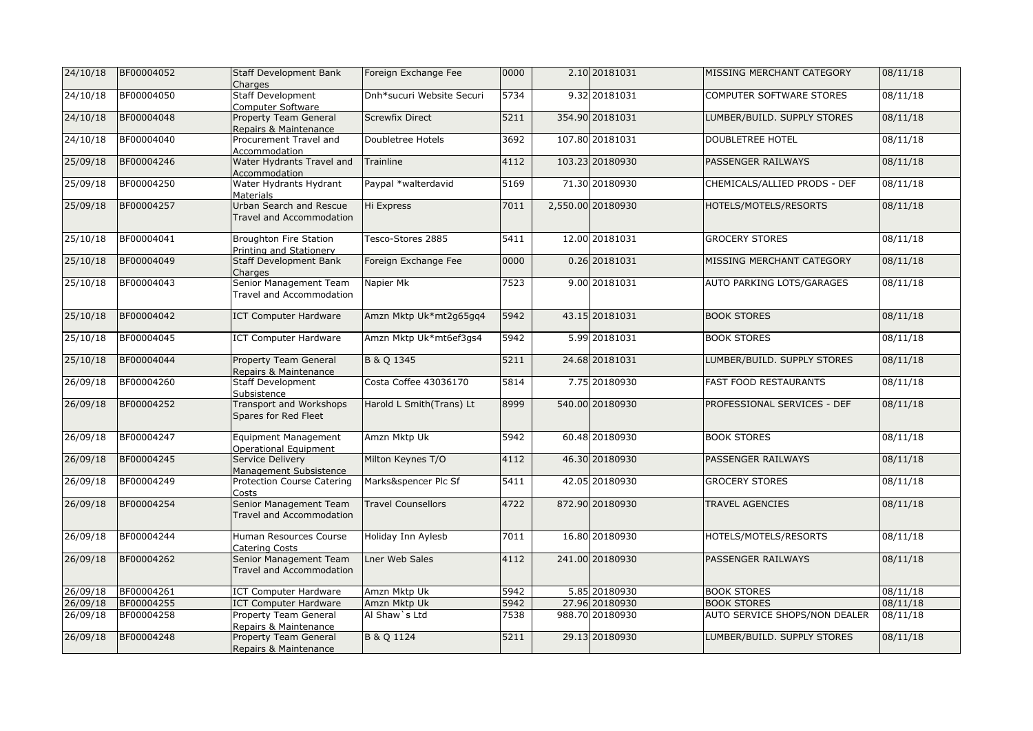| 24/10/18 | BF00004052 | <b>Staff Development Bank</b><br>Charges               | Foreign Exchange Fee      | 0000 | 2.10 20181031     | MISSING MERCHANT CATEGORY     | 08/11/18 |
|----------|------------|--------------------------------------------------------|---------------------------|------|-------------------|-------------------------------|----------|
| 24/10/18 | BF00004050 | Staff Development<br>Computer Software                 | Dnh*sucuri Website Securi | 5734 | 9.32 20181031     | COMPUTER SOFTWARE STORES      | 08/11/18 |
| 24/10/18 | BF00004048 | <b>Property Team General</b><br>Repairs & Maintenance  | <b>Screwfix Direct</b>    | 5211 | 354.90 20181031   | LUMBER/BUILD. SUPPLY STORES   | 08/11/18 |
| 24/10/18 | BF00004040 | Procurement Travel and<br>Accommodation                | Doubletree Hotels         | 3692 | 107.80 20181031   | DOUBLETREE HOTEL              | 08/11/18 |
| 25/09/18 | BF00004246 | Water Hydrants Travel and<br>Accommodation             | Trainline                 | 4112 | 103.23 20180930   | <b>PASSENGER RAILWAYS</b>     | 08/11/18 |
| 25/09/18 | BF00004250 | Water Hydrants Hydrant<br>Materials                    | Paypal *walterdavid       | 5169 | 71.30 20180930    | CHEMICALS/ALLIED PRODS - DEF  | 08/11/18 |
| 25/09/18 | BF00004257 | Urban Search and Rescue<br>Travel and Accommodation    | Hi Express                | 7011 | 2,550.00 20180930 | HOTELS/MOTELS/RESORTS         | 08/11/18 |
| 25/10/18 | BF00004041 | Broughton Fire Station<br>Printing and Stationery      | Tesco-Stores 2885         | 5411 | 12.00 20181031    | <b>GROCERY STORES</b>         | 08/11/18 |
| 25/10/18 | BF00004049 | <b>Staff Development Bank</b><br>Charges               | Foreign Exchange Fee      | 0000 | 0.26 20181031     | MISSING MERCHANT CATEGORY     | 08/11/18 |
| 25/10/18 | BF00004043 | Senior Management Team<br>Travel and Accommodation     | Napier Mk                 | 7523 | 9.00 20181031     | AUTO PARKING LOTS/GARAGES     | 08/11/18 |
| 25/10/18 | BF00004042 | <b>ICT Computer Hardware</b>                           | Amzn Mktp Uk*mt2g65gq4    | 5942 | 43.15 20181031    | <b>BOOK STORES</b>            | 08/11/18 |
| 25/10/18 | BF00004045 | <b>ICT Computer Hardware</b>                           | Amzn Mktp Uk*mt6ef3gs4    | 5942 | 5.99 20181031     | <b>BOOK STORES</b>            | 08/11/18 |
| 25/10/18 | BF00004044 | Property Team General<br>Repairs & Maintenance         | B & Q 1345                | 5211 | 24.68 20181031    | LUMBER/BUILD. SUPPLY STORES   | 08/11/18 |
| 26/09/18 | BF00004260 | <b>Staff Development</b><br>Subsistence                | Costa Coffee 43036170     | 5814 | 7.75 20180930     | <b>FAST FOOD RESTAURANTS</b>  | 08/11/18 |
| 26/09/18 | BF00004252 | <b>Transport and Workshops</b><br>Spares for Red Fleet | Harold L Smith(Trans) Lt  | 8999 | 540.00 20180930   | PROFESSIONAL SERVICES - DEF   | 08/11/18 |
| 26/09/18 | BF00004247 | <b>Equipment Management</b><br>Operational Equipment   | Amzn Mktp Uk              | 5942 | 60.48 20180930    | <b>BOOK STORES</b>            | 08/11/18 |
| 26/09/18 | BF00004245 | Service Delivery<br>Management Subsistence             | Milton Keynes T/O         | 4112 | 46.30 20180930    | PASSENGER RAILWAYS            | 08/11/18 |
| 26/09/18 | BF00004249 | <b>Protection Course Catering</b><br>Costs             | Marks&spencer Plc Sf      | 5411 | 42.05 20180930    | <b>GROCERY STORES</b>         | 08/11/18 |
| 26/09/18 | BF00004254 | Senior Management Team<br>Travel and Accommodation     | <b>Travel Counsellors</b> | 4722 | 872.90 20180930   | <b>TRAVEL AGENCIES</b>        | 08/11/18 |
| 26/09/18 | BF00004244 | Human Resources Course<br><b>Catering Costs</b>        | Holiday Inn Aylesb        | 7011 | 16.80 20180930    | HOTELS/MOTELS/RESORTS         | 08/11/18 |
| 26/09/18 | BF00004262 | Senior Management Team<br>Travel and Accommodation     | <b>Lner Web Sales</b>     | 4112 | 241.00 20180930   | <b>PASSENGER RAILWAYS</b>     | 08/11/18 |
| 26/09/18 | BF00004261 | <b>ICT Computer Hardware</b>                           | Amzn Mktp Uk              | 5942 | 5.85 20180930     | <b>BOOK STORES</b>            | 08/11/18 |
| 26/09/18 | BF00004255 | <b>ICT Computer Hardware</b>                           | Amzn Mktp Uk              | 5942 | 27.96 20180930    | <b>BOOK STORES</b>            | 08/11/18 |
| 26/09/18 | BF00004258 | <b>Property Team General</b><br>Repairs & Maintenance  | Al Shaw's Ltd             | 7538 | 988.70 20180930   | AUTO SERVICE SHOPS/NON DEALER | 08/11/18 |
| 26/09/18 | BF00004248 | Property Team General<br>Repairs & Maintenance         | B & Q 1124                | 5211 | 29.13 20180930    | LUMBER/BUILD. SUPPLY STORES   | 08/11/18 |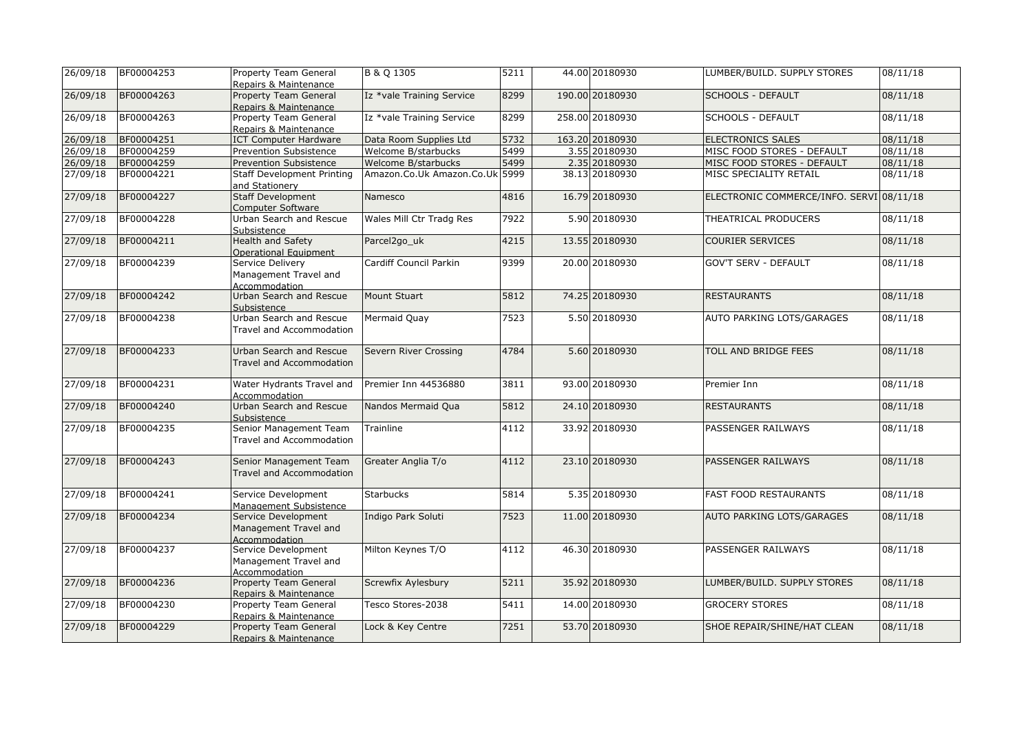| 26/09/18             | BF00004253 | Property Team General<br>Repairs & Maintenance                | B & Q 1305                     | 5211 | 44.00 20180930  | LUMBER/BUILD. SUPPLY STORES              | 08/11/18 |
|----------------------|------------|---------------------------------------------------------------|--------------------------------|------|-----------------|------------------------------------------|----------|
| 26/09/18             | BF00004263 | <b>Property Team General</b><br>Repairs & Maintenance         | Iz *vale Training Service      | 8299 | 190.00 20180930 | <b>SCHOOLS - DEFAULT</b>                 | 08/11/18 |
| 26/09/18             | BF00004263 | Property Team General<br>Repairs & Maintenance                | Iz *vale Training Service      | 8299 | 258.00 20180930 | <b>SCHOOLS - DEFAULT</b>                 | 08/11/18 |
| 26/09/18             | BF00004251 | <b>ICT Computer Hardware</b>                                  | Data Room Supplies Ltd         | 5732 | 163.20 20180930 | <b>ELECTRONICS SALES</b>                 | 08/11/18 |
| 26/09/18             | BF00004259 | Prevention Subsistence                                        | Welcome B/starbucks            | 5499 | 3.55 20180930   | MISC FOOD STORES - DEFAULT               | 08/11/18 |
| 26/09/18             | BF00004259 | <b>Prevention Subsistence</b>                                 | Welcome B/starbucks            | 5499 | 2.35 20180930   | MISC FOOD STORES - DEFAULT               | 08/11/18 |
| 27/09/18             | BF00004221 | <b>Staff Development Printing</b><br>and Stationery           | Amazon.Co.Uk Amazon.Co.Uk 5999 |      | 38.13 20180930  | MISC SPECIALITY RETAIL                   | 08/11/18 |
| 27/09/18             | BF00004227 | <b>Staff Development</b><br><b>Computer Software</b>          | Namesco                        | 4816 | 16.79 20180930  | ELECTRONIC COMMERCE/INFO. SERVI 08/11/18 |          |
| 27/09/18             | BF00004228 | Urban Search and Rescue<br>Subsistence                        | Wales Mill Ctr Tradg Res       | 7922 | 5.90 20180930   | THEATRICAL PRODUCERS                     | 08/11/18 |
| 27/09/18             | BF00004211 | <b>Health and Safety</b><br>Operational Equipment             | Parcel2go_uk                   | 4215 | 13.55 20180930  | <b>COURIER SERVICES</b>                  | 08/11/18 |
| 27/09/18             | BF00004239 | Service Delivery<br>Management Travel and<br>Accommodation    | Cardiff Council Parkin         | 9399 | 20.00 20180930  | <b>GOV'T SERV - DEFAULT</b>              | 08/11/18 |
| 27/09/18             | BF00004242 | Urban Search and Rescue<br>Subsistence                        | Mount Stuart                   | 5812 | 74.25 20180930  | <b>RESTAURANTS</b>                       | 08/11/18 |
| 27/09/18             | BF00004238 | Urban Search and Rescue<br>Travel and Accommodation           | Mermaid Quay                   | 7523 | 5.50 20180930   | AUTO PARKING LOTS/GARAGES                | 08/11/18 |
| 27/09/18             | BF00004233 | Urban Search and Rescue<br>Travel and Accommodation           | Severn River Crossing          | 4784 | 5.60 20180930   | TOLL AND BRIDGE FEES                     | 08/11/18 |
| 27/09/18             | BF00004231 | Water Hydrants Travel and<br>Accommodation                    | Premier Inn 44536880           | 3811 | 93.00 20180930  | Premier Inn                              | 08/11/18 |
| 27/09/18             | BF00004240 | Urban Search and Rescue<br>Subsistence                        | Nandos Mermaid Qua             | 5812 | 24.10 20180930  | <b>RESTAURANTS</b>                       | 08/11/18 |
| $\frac{1}{27}/09/18$ | BF00004235 | Senior Management Team<br>Travel and Accommodation            | Trainline                      | 4112 | 33.92 20180930  | PASSENGER RAILWAYS                       | 08/11/18 |
| 27/09/18             | BF00004243 | Senior Management Team<br>Travel and Accommodation            | Greater Anglia T/o             | 4112 | 23.10 20180930  | PASSENGER RAILWAYS                       | 08/11/18 |
| 27/09/18             | BF00004241 | Service Development<br>Management Subsistence                 | <b>Starbucks</b>               | 5814 | 5.35 20180930   | <b>FAST FOOD RESTAURANTS</b>             | 08/11/18 |
| 27/09/18             | BF00004234 | Service Development<br>Management Travel and<br>Accommodation | Indigo Park Soluti             | 7523 | 11.00 20180930  | AUTO PARKING LOTS/GARAGES                | 08/11/18 |
| 27/09/18             | BF00004237 | Service Development<br>Management Travel and<br>Accommodation | Milton Keynes T/O              | 4112 | 46.30 20180930  | PASSENGER RAILWAYS                       | 08/11/18 |
| 27/09/18             | BF00004236 | <b>Property Team General</b><br>Repairs & Maintenance         | Screwfix Aylesbury             | 5211 | 35.92 20180930  | LUMBER/BUILD. SUPPLY STORES              | 08/11/18 |
| 27/09/18             | BF00004230 | Property Team General<br>Repairs & Maintenance                | Tesco Stores-2038              | 5411 | 14.00 20180930  | <b>GROCERY STORES</b>                    | 08/11/18 |
| 27/09/18             | BF00004229 | Property Team General<br>Repairs & Maintenance                | Lock & Key Centre              | 7251 | 53.70 20180930  | SHOE REPAIR/SHINE/HAT CLEAN              | 08/11/18 |